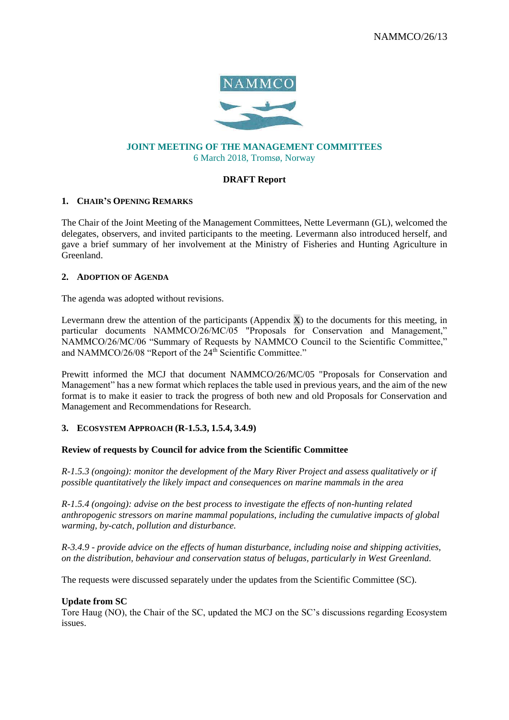

# **JOINT MEETING OF THE MANAGEMENT COMMITTEES**  6 March 2018, Tromsø, Norway

# **DRAFT Report**

## **1. CHAIR'S OPENING REMARKS**

The Chair of the Joint Meeting of the Management Committees, Nette Levermann (GL), welcomed the delegates, observers, and invited participants to the meeting. Levermann also introduced herself, and gave a brief summary of her involvement at the Ministry of Fisheries and Hunting Agriculture in Greenland.

## **2. ADOPTION OF AGENDA**

The agenda was adopted without revisions.

Levermann drew the attention of the participants (Appendix  $X$ ) to the documents for this meeting, in particular documents NAMMCO/26/MC/05 "Proposals for Conservation and Management," NAMMCO/26/MC/06 "Summary of Requests by NAMMCO Council to the Scientific Committee," and NAMMCO/26/08 "Report of the 24<sup>th</sup> Scientific Committee."

Prewitt informed the MCJ that document NAMMCO/26/MC/05 "Proposals for Conservation and Management" has a new format which replaces the table used in previous years, and the aim of the new format is to make it easier to track the progress of both new and old Proposals for Conservation and Management and Recommendations for Research.

## **3. ECOSYSTEM APPROACH (R-1.5.3, 1.5.4, 3.4.9)**

## **Review of requests by Council for advice from the Scientific Committee**

*R-1.5.3 (ongoing): monitor the development of the Mary River Project and assess qualitatively or if possible quantitatively the likely impact and consequences on marine mammals in the area*

*R-1.5.4 (ongoing): advise on the best process to investigate the effects of non-hunting related anthropogenic stressors on marine mammal populations, including the cumulative impacts of global warming, by-catch, pollution and disturbance.*

*R-3.4.9 - provide advice on the effects of human disturbance, including noise and shipping activities, on the distribution, behaviour and conservation status of belugas, particularly in West Greenland.*

The requests were discussed separately under the updates from the Scientific Committee (SC).

## **Update from SC**

Tore Haug (NO), the Chair of the SC, updated the MCJ on the SC's discussions regarding Ecosystem issues.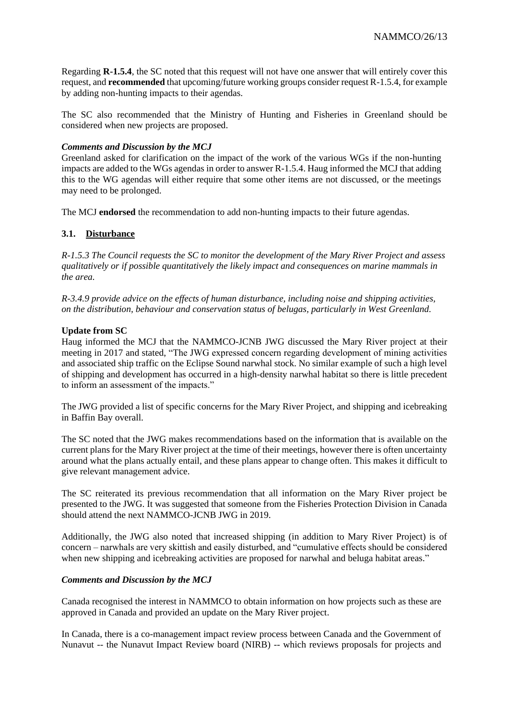Regarding **R-1.5.4**, the SC noted that this request will not have one answer that will entirely cover this request, and **recommended** that upcoming/future working groups consider request R-1.5.4, for example by adding non-hunting impacts to their agendas.

The SC also recommended that the Ministry of Hunting and Fisheries in Greenland should be considered when new projects are proposed.

## *Comments and Discussion by the MCJ*

Greenland asked for clarification on the impact of the work of the various WGs if the non-hunting impacts are added to the WGs agendas in order to answer R-1.5.4. Haug informed the MCJ that adding this to the WG agendas will either require that some other items are not discussed, or the meetings may need to be prolonged.

The MCJ **endorsed** the recommendation to add non-hunting impacts to their future agendas.

# **3.1. Disturbance**

*R-1.5.3 The Council requests the SC to monitor the development of the Mary River Project and assess qualitatively or if possible quantitatively the likely impact and consequences on marine mammals in the area.*

*R-3.4.9 provide advice on the effects of human disturbance, including noise and shipping activities, on the distribution, behaviour and conservation status of belugas, particularly in West Greenland.*

# **Update from SC**

Haug informed the MCJ that the NAMMCO-JCNB JWG discussed the Mary River project at their meeting in 2017 and stated, "The JWG expressed concern regarding development of mining activities and associated ship traffic on the Eclipse Sound narwhal stock. No similar example of such a high level of shipping and development has occurred in a high-density narwhal habitat so there is little precedent to inform an assessment of the impacts."

The JWG provided a list of specific concerns for the Mary River Project, and shipping and icebreaking in Baffin Bay overall.

The SC noted that the JWG makes recommendations based on the information that is available on the current plans for the Mary River project at the time of their meetings, however there is often uncertainty around what the plans actually entail, and these plans appear to change often. This makes it difficult to give relevant management advice.

The SC reiterated its previous recommendation that all information on the Mary River project be presented to the JWG. It was suggested that someone from the Fisheries Protection Division in Canada should attend the next NAMMCO-JCNB JWG in 2019.

Additionally, the JWG also noted that increased shipping (in addition to Mary River Project) is of concern – narwhals are very skittish and easily disturbed, and "cumulative effects should be considered when new shipping and icebreaking activities are proposed for narwhal and beluga habitat areas."

## *Comments and Discussion by the MCJ*

Canada recognised the interest in NAMMCO to obtain information on how projects such as these are approved in Canada and provided an update on the Mary River project.

In Canada, there is a co-management impact review process between Canada and the Government of Nunavut -- the Nunavut Impact Review board (NIRB) -- which reviews proposals for projects and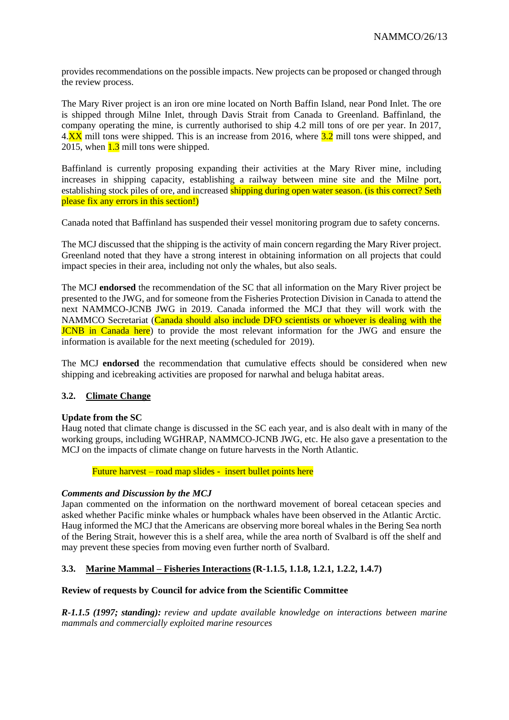provides recommendations on the possible impacts. New projects can be proposed or changed through the review process.

The Mary River project is an iron ore mine located on North Baffin Island, near Pond Inlet. The ore is shipped through Milne Inlet, through Davis Strait from Canada to Greenland. Baffinland, the company operating the mine, is currently authorised to ship 4.2 mill tons of ore per year. In 2017,  $4.\overline{\text{XX}}$  mill tons were shipped. This is an increase from 2016, where  $3.2$  mill tons were shipped, and 2015, when 1.3 mill tons were shipped.

Baffinland is currently proposing expanding their activities at the Mary River mine, including increases in shipping capacity, establishing a railway between mine site and the Milne port, establishing stock piles of ore, and increased shipping during open water season. (is this correct? Seth please fix any errors in this section!)

Canada noted that Baffinland has suspended their vessel monitoring program due to safety concerns.

The MCJ discussed that the shipping is the activity of main concern regarding the Mary River project. Greenland noted that they have a strong interest in obtaining information on all projects that could impact species in their area, including not only the whales, but also seals.

The MCJ **endorsed** the recommendation of the SC that all information on the Mary River project be presented to the JWG, and for someone from the Fisheries Protection Division in Canada to attend the next NAMMCO-JCNB JWG in 2019. Canada informed the MCJ that they will work with the NAMMCO Secretariat (Canada should also include DFO scientists or whoever is dealing with the JCNB in Canada here) to provide the most relevant information for the JWG and ensure the information is available for the next meeting (scheduled for 2019).

The MCJ **endorsed** the recommendation that cumulative effects should be considered when new shipping and icebreaking activities are proposed for narwhal and beluga habitat areas.

## **3.2. Climate Change**

## **Update from the SC**

Haug noted that climate change is discussed in the SC each year, and is also dealt with in many of the working groups, including WGHRAP, NAMMCO-JCNB JWG, etc. He also gave a presentation to the MCJ on the impacts of climate change on future harvests in the North Atlantic.

Future harvest – road map slides - insert bullet points here

## *Comments and Discussion by the MCJ*

Japan commented on the information on the northward movement of boreal cetacean species and asked whether Pacific minke whales or humpback whales have been observed in the Atlantic Arctic. Haug informed the MCJ that the Americans are observing more boreal whales in the Bering Sea north of the Bering Strait, however this is a shelf area, while the area north of Svalbard is off the shelf and may prevent these species from moving even further north of Svalbard.

## **3.3. Marine Mammal – Fisheries Interactions (R-1.1.5, 1.1.8, 1.2.1, 1.2.2, 1.4.7)**

## **Review of requests by Council for advice from the Scientific Committee**

*R-1.1.5 (1997; standing): review and update available knowledge on interactions between marine mammals and commercially exploited marine resources*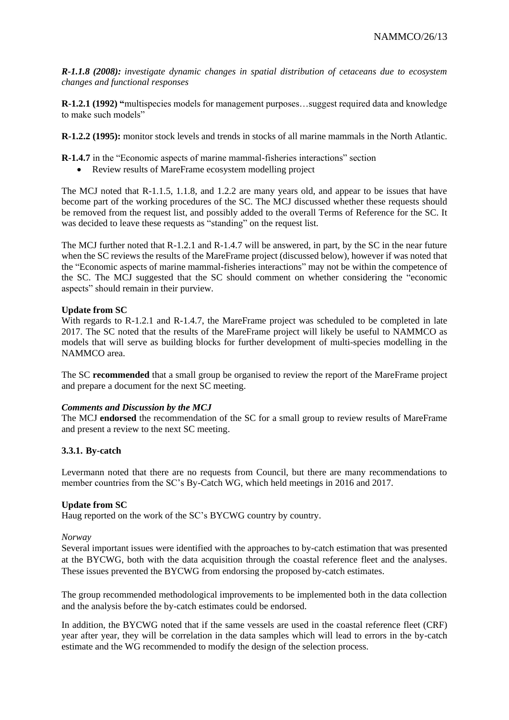*R-1.1.8 (2008): investigate dynamic changes in spatial distribution of cetaceans due to ecosystem changes and functional responses* 

**R-1.2.1 (1992) "**multispecies models for management purposes…suggest required data and knowledge to make such models"

**R-1.2.2 (1995):** monitor stock levels and trends in stocks of all marine mammals in the North Atlantic.

**R-1.4.7** in the "Economic aspects of marine mammal-fisheries interactions" section

• Review results of MareFrame ecosystem modelling project

The MCJ noted that R-1.1.5, 1.1.8, and 1.2.2 are many years old, and appear to be issues that have become part of the working procedures of the SC. The MCJ discussed whether these requests should be removed from the request list, and possibly added to the overall Terms of Reference for the SC. It was decided to leave these requests as "standing" on the request list.

The MCJ further noted that R-1.2.1 and R-1.4.7 will be answered, in part, by the SC in the near future when the SC reviews the results of the MareFrame project (discussed below), however if was noted that the "Economic aspects of marine mammal-fisheries interactions" may not be within the competence of the SC. The MCJ suggested that the SC should comment on whether considering the "economic aspects" should remain in their purview.

# **Update from SC**

With regards to R-1.2.1 and R-1.4.7, the MareFrame project was scheduled to be completed in late 2017. The SC noted that the results of the MareFrame project will likely be useful to NAMMCO as models that will serve as building blocks for further development of multi-species modelling in the NAMMCO area.

The SC **recommended** that a small group be organised to review the report of the MareFrame project and prepare a document for the next SC meeting.

## *Comments and Discussion by the MCJ*

The MCJ **endorsed** the recommendation of the SC for a small group to review results of MareFrame and present a review to the next SC meeting.

## **3.3.1. By-catch**

Levermann noted that there are no requests from Council, but there are many recommendations to member countries from the SC's By-Catch WG, which held meetings in 2016 and 2017.

## **Update from SC**

Haug reported on the work of the SC's BYCWG country by country.

## *Norway*

Several important issues were identified with the approaches to by-catch estimation that was presented at the BYCWG, both with the data acquisition through the coastal reference fleet and the analyses. These issues prevented the BYCWG from endorsing the proposed by-catch estimates.

The group recommended methodological improvements to be implemented both in the data collection and the analysis before the by-catch estimates could be endorsed.

In addition, the BYCWG noted that if the same vessels are used in the coastal reference fleet (CRF) year after year, they will be correlation in the data samples which will lead to errors in the by-catch estimate and the WG recommended to modify the design of the selection process.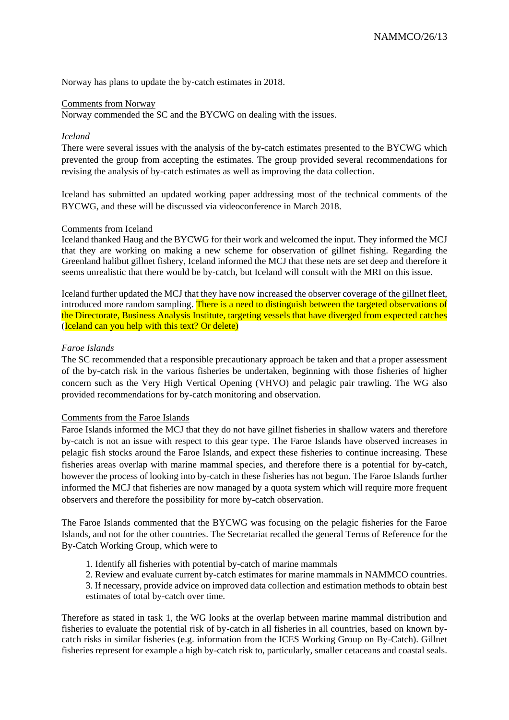Norway has plans to update the by-catch estimates in 2018.

### Comments from Norway

Norway commended the SC and the BYCWG on dealing with the issues.

### *Iceland*

There were several issues with the analysis of the by-catch estimates presented to the BYCWG which prevented the group from accepting the estimates. The group provided several recommendations for revising the analysis of by-catch estimates as well as improving the data collection.

Iceland has submitted an updated working paper addressing most of the technical comments of the BYCWG, and these will be discussed via videoconference in March 2018.

#### Comments from Iceland

Iceland thanked Haug and the BYCWG for their work and welcomed the input. They informed the MCJ that they are working on making a new scheme for observation of gillnet fishing. Regarding the Greenland halibut gillnet fishery, Iceland informed the MCJ that these nets are set deep and therefore it seems unrealistic that there would be by-catch, but Iceland will consult with the MRI on this issue.

Iceland further updated the MCJ that they have now increased the observer coverage of the gillnet fleet, introduced more random sampling. There is a need to distinguish between the targeted observations of the Directorate, Business Analysis Institute, targeting vessels that have diverged from expected catches (Iceland can you help with this text? Or delete)

### *Faroe Islands*

The SC recommended that a responsible precautionary approach be taken and that a proper assessment of the by-catch risk in the various fisheries be undertaken, beginning with those fisheries of higher concern such as the Very High Vertical Opening (VHVO) and pelagic pair trawling. The WG also provided recommendations for by-catch monitoring and observation.

#### Comments from the Faroe Islands

Faroe Islands informed the MCJ that they do not have gillnet fisheries in shallow waters and therefore by-catch is not an issue with respect to this gear type. The Faroe Islands have observed increases in pelagic fish stocks around the Faroe Islands, and expect these fisheries to continue increasing. These fisheries areas overlap with marine mammal species, and therefore there is a potential for by-catch, however the process of looking into by-catch in these fisheries has not begun. The Faroe Islands further informed the MCJ that fisheries are now managed by a quota system which will require more frequent observers and therefore the possibility for more by-catch observation.

The Faroe Islands commented that the BYCWG was focusing on the pelagic fisheries for the Faroe Islands, and not for the other countries. The Secretariat recalled the general Terms of Reference for the By-Catch Working Group, which were to

- 1. Identify all fisheries with potential by-catch of marine mammals
- 2. Review and evaluate current by-catch estimates for marine mammals in NAMMCO countries.
- 3. If necessary, provide advice on improved data collection and estimation methods to obtain best estimates of total by-catch over time.

Therefore as stated in task 1, the WG looks at the overlap between marine mammal distribution and fisheries to evaluate the potential risk of by-catch in all fisheries in all countries, based on known bycatch risks in similar fisheries (e.g. information from the ICES Working Group on By-Catch). Gillnet fisheries represent for example a high by-catch risk to, particularly, smaller cetaceans and coastal seals.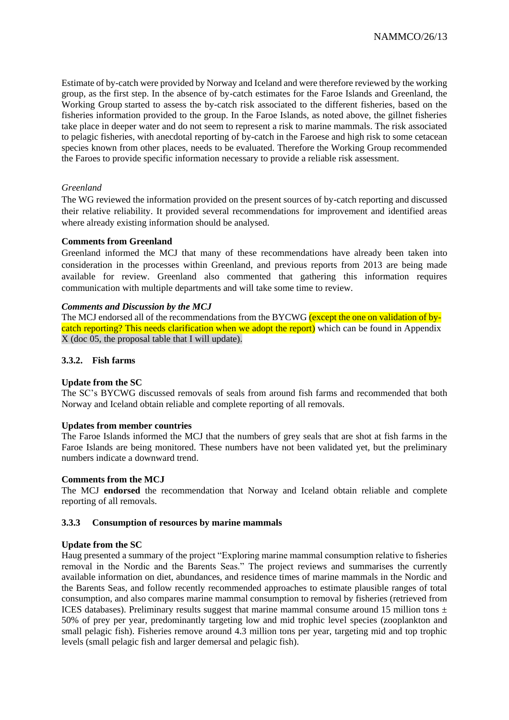Estimate of by-catch were provided by Norway and Iceland and were therefore reviewed by the working group, as the first step. In the absence of by-catch estimates for the Faroe Islands and Greenland, the Working Group started to assess the by-catch risk associated to the different fisheries, based on the fisheries information provided to the group. In the Faroe Islands, as noted above, the gillnet fisheries take place in deeper water and do not seem to represent a risk to marine mammals. The risk associated to pelagic fisheries, with anecdotal reporting of by-catch in the Faroese and high risk to some cetacean species known from other places, needs to be evaluated. Therefore the Working Group recommended the Faroes to provide specific information necessary to provide a reliable risk assessment.

## *Greenland*

The WG reviewed the information provided on the present sources of by-catch reporting and discussed their relative reliability. It provided several recommendations for improvement and identified areas where already existing information should be analysed.

## **Comments from Greenland**

Greenland informed the MCJ that many of these recommendations have already been taken into consideration in the processes within Greenland, and previous reports from 2013 are being made available for review. Greenland also commented that gathering this information requires communication with multiple departments and will take some time to review.

## *Comments and Discussion by the MCJ*

The MCJ endorsed all of the recommendations from the BYCWG (except the one on validation of bycatch reporting? This needs clarification when we adopt the report) which can be found in Appendix X (doc 05, the proposal table that I will update).

## **3.3.2. Fish farms**

## **Update from the SC**

The SC's BYCWG discussed removals of seals from around fish farms and recommended that both Norway and Iceland obtain reliable and complete reporting of all removals.

## **Updates from member countries**

The Faroe Islands informed the MCJ that the numbers of grey seals that are shot at fish farms in the Faroe Islands are being monitored. These numbers have not been validated yet, but the preliminary numbers indicate a downward trend.

## **Comments from the MCJ**

The MCJ **endorsed** the recommendation that Norway and Iceland obtain reliable and complete reporting of all removals.

## **3.3.3 Consumption of resources by marine mammals**

## **Update from the SC**

Haug presented a summary of the project "Exploring marine mammal consumption relative to fisheries removal in the Nordic and the Barents Seas." The project reviews and summarises the currently available information on diet, abundances, and residence times of marine mammals in the Nordic and the Barents Seas, and follow recently recommended approaches to estimate plausible ranges of total consumption, and also compares marine mammal consumption to removal by fisheries (retrieved from ICES databases). Preliminary results suggest that marine mammal consume around 15 million tons  $\pm$ 50% of prey per year, predominantly targeting low and mid trophic level species (zooplankton and small pelagic fish). Fisheries remove around 4.3 million tons per year, targeting mid and top trophic levels (small pelagic fish and larger demersal and pelagic fish).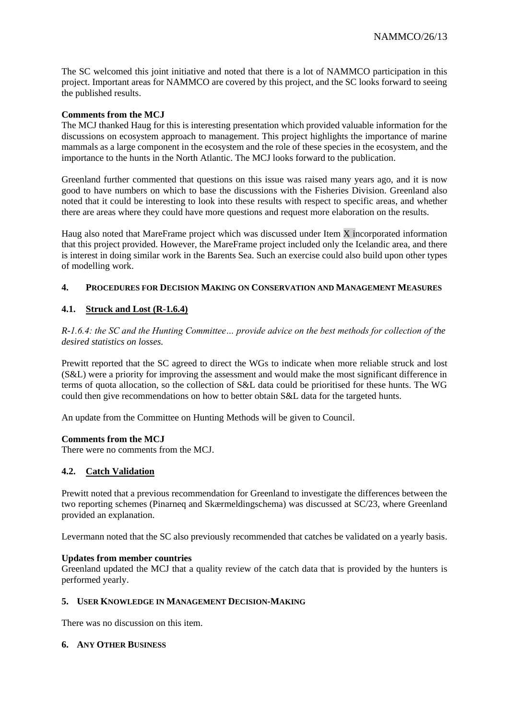The SC welcomed this joint initiative and noted that there is a lot of NAMMCO participation in this project. Important areas for NAMMCO are covered by this project, and the SC looks forward to seeing the published results.

## **Comments from the MCJ**

The MCJ thanked Haug for this is interesting presentation which provided valuable information for the discussions on ecosystem approach to management. This project highlights the importance of marine mammals as a large component in the ecosystem and the role of these species in the ecosystem, and the importance to the hunts in the North Atlantic. The MCJ looks forward to the publication.

Greenland further commented that questions on this issue was raised many years ago, and it is now good to have numbers on which to base the discussions with the Fisheries Division. Greenland also noted that it could be interesting to look into these results with respect to specific areas, and whether there are areas where they could have more questions and request more elaboration on the results.

Haug also noted that MareFrame project which was discussed under Item X incorporated information that this project provided. However, the MareFrame project included only the Icelandic area, and there is interest in doing similar work in the Barents Sea. Such an exercise could also build upon other types of modelling work.

# **4. PROCEDURES FOR DECISION MAKING ON CONSERVATION AND MANAGEMENT MEASURES**

# **4.1. Struck and Lost (R-1.6.4)**

*R-1.6.4: the SC and the Hunting Committee… provide advice on the best methods for collection of the desired statistics on losses.*

Prewitt reported that the SC agreed to direct the WGs to indicate when more reliable struck and lost (S&L) were a priority for improving the assessment and would make the most significant difference in terms of quota allocation, so the collection of S&L data could be prioritised for these hunts. The WG could then give recommendations on how to better obtain S&L data for the targeted hunts.

An update from the Committee on Hunting Methods will be given to Council.

## **Comments from the MCJ**

There were no comments from the MCJ.

# **4.2. Catch Validation**

Prewitt noted that a previous recommendation for Greenland to investigate the differences between the two reporting schemes (Pinarneq and Skærmeldingschema) was discussed at SC/23, where Greenland provided an explanation.

Levermann noted that the SC also previously recommended that catches be validated on a yearly basis.

## **Updates from member countries**

Greenland updated the MCJ that a quality review of the catch data that is provided by the hunters is performed yearly.

## **5. USER KNOWLEDGE IN MANAGEMENT DECISION-MAKING**

There was no discussion on this item.

## **6. ANY OTHER BUSINESS**